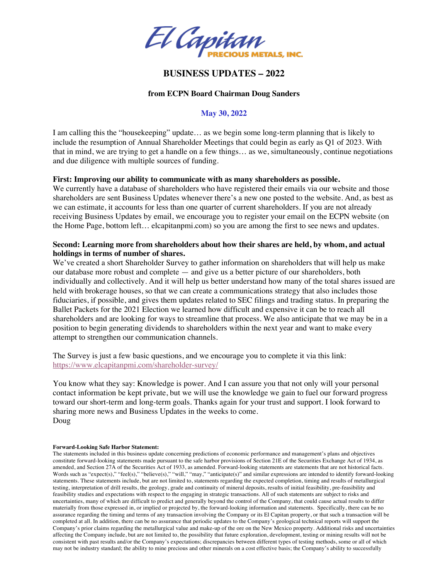

# **BUSINESS UPDATES – 2022**

#### **from ECPN Board Chairman Doug Sanders**

## **May 30, 2022**

I am calling this the "housekeeping" update… as we begin some long-term planning that is likely to include the resumption of Annual Shareholder Meetings that could begin as early as Q1 of 2023. With that in mind, we are trying to get a handle on a few things… as we, simultaneously, continue negotiations and due diligence with multiple sources of funding.

### **First: Improving our ability to communicate with as many shareholders as possible.**

We currently have a database of shareholders who have registered their emails via our website and those shareholders are sent Business Updates whenever there's a new one posted to the website. And, as best as we can estimate, it accounts for less than one quarter of current shareholders. If you are not already receiving Business Updates by email, we encourage you to register your email on the ECPN website (on the Home Page, bottom left… elcapitanpmi.com) so you are among the first to see news and updates.

#### **Second: Learning more from shareholders about how their shares are held, by whom, and actual holdings in terms of number of shares.**

We've created a short Shareholder Survey to gather information on shareholders that will help us make our database more robust and complete — and give us a better picture of our shareholders, both individually and collectively. And it will help us better understand how many of the total shares issued are held with brokerage houses, so that we can create a communications strategy that also includes those fiduciaries, if possible, and gives them updates related to SEC filings and trading status. In preparing the Ballet Packets for the 2021 Election we learned how difficult and expensive it can be to reach all shareholders and are looking for ways to streamline that process. We also anticipate that we may be in a position to begin generating dividends to shareholders within the next year and want to make every attempt to strengthen our communication channels.

The Survey is just a few basic questions, and we encourage you to complete it via this link: https://www.elcapitanpmi.com/shareholder-survey/

You know what they say: Knowledge is power. And I can assure you that not only will your personal contact information be kept private, but we will use the knowledge we gain to fuel our forward progress toward our short-term and long-term goals. Thanks again for your trust and support. I look forward to sharing more news and Business Updates in the weeks to come. Doug

#### **Forward-Looking Safe Harbor Statement:**

The statements included in this business update concerning predictions of economic performance and management's plans and objectives constitute forward-looking statements made pursuant to the safe harbor provisions of Section 21E of the Securities Exchange Act of 1934, as amended, and Section 27A of the Securities Act of 1933, as amended. Forward-looking statements are statements that are not historical facts. Words such as "expect(s)," "feel(s)," "believe(s)," "will," "may," "anticipate(s)" and similar expressions are intended to identify forward-looking statements. These statements include, but are not limited to, statements regarding the expected completion, timing and results of metallurgical testing, interpretation of drill results, the geology, grade and continuity of mineral deposits, results of initial feasibility, pre-feasibility and feasibility studies and expectations with respect to the engaging in strategic transactions. All of such statements are subject to risks and uncertainties, many of which are difficult to predict and generally beyond the control of the Company, that could cause actual results to differ materially from those expressed in, or implied or projected by, the forward-looking information and statements. Specifically, there can be no assurance regarding the timing and terms of any transaction involving the Company or its El Capitan property, or that such a transaction will be completed at all. In addition, there can be no assurance that periodic updates to the Company's geological technical reports will support the Company's prior claims regarding the metallurgical value and make-up of the ore on the New Mexico property. Additional risks and uncertainties affecting the Company include, but are not limited to, the possibility that future exploration, development, testing or mining results will not be consistent with past results and/or the Company's expectations; discrepancies between different types of testing methods, some or all of which may not be industry standard; the ability to mine precious and other minerals on a cost effective basis; the Company's ability to successfully